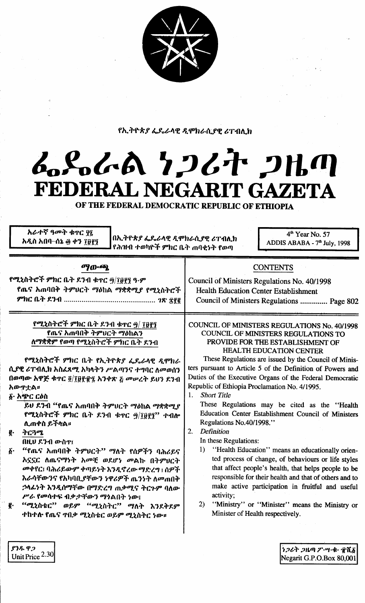

የኢትዮጵያ ፌዴራላዊ ዲሞክራሲያዊ ሪፐብሊክ

## んとんれ とつびた つはの FEDERAL NEGARIT GAZETA

OF THE FEDERAL DEMOCRATIC REPUBLIC OF ETHIOPIA

አራተኛ ዓመት ቁኖር ዋጊ  $4<sup>th</sup>$  Year No. 57 በኢትዮጵያ ፌዴራላዊ ዲሞክራሲያዊ ሪፐብሊክ አዲስ አበባ–ሰኔ ፴ ቀን ፲፱፻፺ ADDIS ABABA - 7<sup>th</sup> July, 1998 የሕዝብ ተወካዮች ምክር ቤት ጠባቂነት የወጣ ማውጫ **CONTENTS** የሚኒስትሮች ምክር ቤት ደንብ ቁጥር ፵/፲፱፻፺ ዓ·ም Council of Ministers Regulations No. 40/1998 የጨና አጠባበቅ ትምህርት ማዕከል ማቋቋሚያ የሚኒስትሮች **Health Education Center Establishment** Council of Ministers Regulations .............. Page 802 የሚኒስትሮች ምክር ቤት ደንብ ቁተር ፵/ ፲፱፻፺ **COUNCIL OF MINISTERS REGULATIONS No. 40/1998** የጨና አጠባበቅ ትምሀርት ማዕከልን COUNCIL OF MINISTERS REGULATIONS TO ለማቋቋም የወጣ የሚኒስትሮች ምክር ቤት ዶንብ PROVIDE FOR THE ESTABLISHMENT OF **HEALTH EDUCATION CENTER** These Regulations are issued by the Council of Minis-የሚኒስትሮች ምክር ቤት የኢትዮጵያ ፌዴራላዊ ዲሞክራ ters pursuant to Article 5 of the Definition of Powers and ሲያዊ ሪፐብሊክ አስፈጻሚ አካላትን ሥልጣንና ተግባር ለመወሰን Duties of the Executive Organs of the Federal Democratic በወጣው አዋጅ ቁጥር ፬/፲፱፻፹፯ አንቀጽ ፩ መሠረት ይህን ደንብ Republic of Ethiopia Proclamation No. 4/1995. አውዋቷል። 1. Short Title δ· አጭር ርዕስ These Regulations may be cited as the "Health ይሀ ደንብ "የጨና አጠባበቅ ትምህርት ማዕከል ማቋቋሚ*ያ* የሚኒስትሮች ምክር ቤት ደንብ ቁተር ፵/፲፱፻፺'' ተብሎ Education Center Establishment Council of Ministers Regulations No.40/1998." ሊጠቀስ ይችላል፡፡ 2. Definition ትርጓሜ ę٠ In these Regulations: በዚህ ደንብ ውስዋ፤  $1)$ "Health Education" means an educationally orien- $\vec{b}$ . "የጨና አጠባበቅ ትምሀርት" ማለት የሰዎችን ባሕሪይና ted process of change, of behaviours or life styles አኗኗር ስጤናማነት አመቺ ወደሆነ መልኩ በትምሀርት መቀየር፤ ባሕሪይውም ቀጣይነት እንዲኖረው ማድረግ ፤ ሰዎች that affect people's health, that helps people to be responsible for their health and that of others and to እራሳቸውንና የአካባቢያቸውን ነዋሪዎች ጤንነት ለመጠበቅ make active participation in fruitful and useful ኃላፊነት እንዲሰማቸው በማድረግ ጠቃሚና ትርጉም ባለው activity; ሥራ የመሳተፍ ብቃታቸውን ማነልበት ነው፤ "ሚኒስቴር" ወይም "ሚኒስትር" ማለት እንደቅደም 2) "Ministry" or "Minister" means the Ministry or ē. Minister of Health respectively. ተከተሉ የጤና ተበቃ ሚኒስቴር ወይም ሚኒስትር ነው። ያንዱ ዋ*ጋ* ነጋሪት ጋዜጣ ፖ…ግ…ቁ ተሺ፩

Negarit G.P.O.Box 80,001

Unit Price 2.30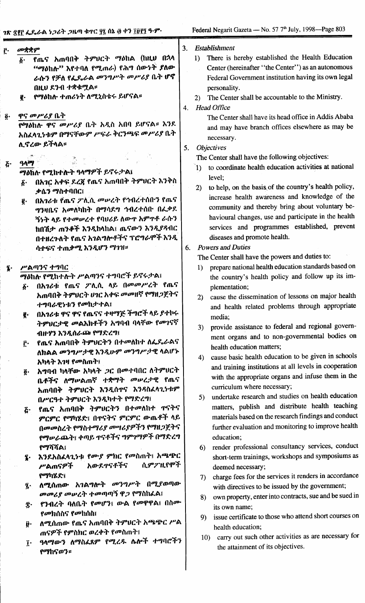| Ĉ٠                       | መቋቋም                                                                                                                                                          | 3. | <b>Establishment</b>                                                                                                                                                                                    |
|--------------------------|---------------------------------------------------------------------------------------------------------------------------------------------------------------|----|---------------------------------------------------------------------------------------------------------------------------------------------------------------------------------------------------------|
|                          | የጤና አጠባበቅ ትምህርት ማዕከል (ከዚህ በኋላ<br>δ.<br>"ማዕከሉ" እየተባለ የሚጠራ) የሕግ ሰውነት ያለው<br>ራሱን የቻለ የፌዴራል መንግሥት መሥሪያ ቤት ሆኖ<br>በዚሀ ደንብ ተቋቁሟል።                                    |    | There is hereby established the Health Education<br>1)<br>Center (hereinafter "the Center") as an autonomous<br>Federal Government institution having its own legal<br>personality.                     |
|                          | የማዕከሉ ተጠሪነት ለሚኒስቴሩ ይሆናል።<br>g.                                                                                                                                | 4. | The Center shall be accountable to the Ministry.<br>2)<br><b>Head Office</b>                                                                                                                            |
| $\tilde{\mathbf{g}}$ .   | ዋና መሥሪያ ቤት<br>የማዕከሉ ዋና መሥሪያ ቤት አዲስ አበባ ይሆናል። እንደ<br>አስፈላጊነቱም በማናቸውም ሥፍራ ቅርንጫፍ መሥሪያ ቤት                                                                         |    | The Center shall have its head office in Addis Ababa<br>and may have branch offices elsewhere as may be<br>necessary.                                                                                   |
|                          | ሊኖረው ይችላል።<br>그렇게 하                                                                                                                                           | 5. | <b>Objectives</b><br>The Center shall have the following objectives:                                                                                                                                    |
| $\boldsymbol{\tilde{G}}$ | ዓላማ<br>ማዕከሉ የሚከተሉት ዓላማዎች ይኖሩታል፤                                                                                                                               |    | to coordinate health education activities at national<br>$\hat{1}$                                                                                                                                      |
|                          | በአገር አቀፍ ደረጀ የጤና አጠባበቅ ትምህርት እንቅስ<br>$\tilde{\mathbf{Q}}$ .<br>ቃሴን ማስተባበር፤<br>በአገሪቱ የጤና ፖሊሲ መሥረት የኅብረተሰቡን የጤና<br>ğ.<br><i>ግን</i> ዛቤና አመለካከት በማሳደግ ኅብረተሰቡ በፌቃደ |    | level;<br>to help, on the basis of the country's health policy,<br>2)<br>increase health awareness and knowledge of the<br>community and thereby bring about voluntary be-                              |
|                          | ኝነት ላይ የተመሠረተ የባሀሪይ ለውዋ አምዋቶ ራሱን<br>ከበሽታ ጠንቆች እንዲከላከል፤ ጤናውን እንዲያዳብር<br>በተዘረጉለት የጤና አገልግሎቶችና ፕሮግራሞች እንዲ                                                        |    | havioural changes, use and participate in the health<br>services and programmes established, prevent<br>diseases and promote health.                                                                    |
|                          | ሳታፍና ተጠቃሚ እንዲሆን ማንዝ።                                                                                                                                          | 6. | <b>Powers and Duties</b><br>The Center shall have the powers and duties to:                                                                                                                             |
| Į.                       | ሥልጣንና ተግባር<br>ማዕከሉ የሚከተሉት ሥልጣንና ተግባሮች ይኖሩታል፤<br>በአገሪቱ የጤና ፖሊሲ ላይ በመመሥረት የጤና                                                                                   |    | prepare national health education standards based on<br>$\left( \mathbf{I}\right)$<br>the country's health policy and follow up its im-                                                                 |
|                          | $\boldsymbol{\delta}$ .<br>አጠባበቅ ትምህርት ሀገር አቀፍ መመዘኛ የማዘጋጀትና<br>ተግባራዊነቱን የመከታተል፤                                                                               |    | plementation;<br>cause the dissemination of lessons on major health<br>2)<br>and health related problems through appropriate                                                                            |
|                          | በአገሪቱ ዋና ዋና የጤናና ተዛማጅ ችግሮች ላይ ያተኮሩ<br>g.<br>ትምህርታዊ መልእክቶችን አግባብ ባላቸው የመገናኛ<br>ብዙሃን እንዲሰራጮ የማድረግ፤                                                              |    | media;<br>3) provide assistance to federal and regional govern-                                                                                                                                         |
|                          | የጨና አጠባበቅ ትምህርትን በተመለከተ ለፌ <b>ዱራልና</b><br>Ĉ٠<br>ለክልል መንግሥታዊ እንዲሁም መንግሥታዊ ላልሆኑ                                                                                 |    | ment organs and to non-governmental bodies on<br>health education matters;<br>cause basic health education to be given in schools<br>4)                                                                 |
|                          | አካላት እንዛ የመስጠት፤<br>አግባብ ካላቸው አካላት <i>ጋ</i> ር በመተባበር ለትምህርት<br>ĝ٠<br>ቤቶችና ለማሠልጠኛ ተቋማት መሠረታዊ የጤና<br>አጠባበቅ ትምህርት እንዲሰዋና እንዳስፈላጊነቱም<br>በሥርዓተ ትምህርት እንዲካተት የማድረግ፤  |    | and training institutions at all levels in cooperation<br>with the appropriate organs and infuse them in the<br>curriculum where necessary;<br>undertake research and studies on health education<br>5) |
|                          | <u>ሯ· የጨና አጠባበቅ ትምሀርትን በተመለከተ ተናትና</u><br>ምርምር የማካሄድ፤ በተናትና ምርምር ውጤቶች ላይ<br>በመመስረት የማስተማሪያ መሣሪያዎችን የማዘጋጀትና<br>የማሡራጨት፤ ቀጣይ ተናቶችና ግምገማዎች በማድረግ                  |    | matters, publish and distribute health teaching<br>materials based on the research findings and conduct<br>further evaluation and monitoring to improve health<br>education;                            |
|                          | የማሻሻል፤<br>እንደአስፈላጊነቱ የሙያ ምክር የመስጠት፤ አጫጭር<br>L.<br>ሲምፖዚየሞች<br>አውደዋናቶችና<br>ሥልጠናዎች<br>የማካሄድ፤                                                                     |    | render professional consultancy services, conduct<br>6)<br>short-term trainings, workshops and symposiums as<br>deemed necessary;<br>charge fees for the services it renders in accordance<br>7)        |
|                          | ለሚሰጠው አገልግሎት መንግሥት በሚያወጣው<br>$\mathbf{\hat{z}}$<br>መመሪያ መሠረት ተመጣጣኝ ዋጋ የማስከፌል፤                                                                                 |    | with directives to be issued by the government;<br>own property, enter into contracts, sue and be sued in<br>8)                                                                                         |
|                          | የንብረት ባለቤት የመሆን፤ ውል የመዋዋል፤ በስሙ<br>Ï٠<br>የመክሰስና የመከሰስ፤                                                                                                         |    | its own name;<br>issue certificate to those who attend short courses on<br>9                                                                                                                            |
|                          | ለሚሰጠው የጤና አጠባበቅ ትምህርት አጫጭር ሥል<br>ŷ٠<br>ጠናዎች የምስክር ወረቀት የመስጠት፤                                                                                                 |    | health education;<br>carry out such other activities as are necessary for<br>10)                                                                                                                        |
|                          | ዓላማውን ለማስፈጸም የሚረዱ ሴሎች ተግባሮችን<br>Ţ.<br>የማከናወን።                                                                                                                 |    | the attainment of its objectives.                                                                                                                                                                       |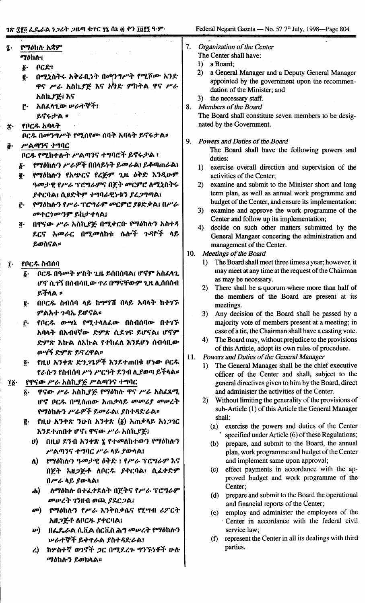- የማዕከሉ አቋም *Mohes*
- $ACR1$  $\delta$ .

 $\tilde{\mathbf{z}}$ .

ß.

- በሚኒስትሩ አቅራቢነት በመንግሥት የሚሾሙ አንድ ę. ዋና ሥራ አስኪያጅ እና አካድ ምክትል ዋና ሥራ አስኪያጅ፣ እና
- አስፈላጊው ሥራተኞች፤ r. ይኖሩታል ፡

## የቦርዱ አባላት

ቦርዱ በመንግሥት የሚሰየሙ ሰባት አባላት ይኖሩታል። ሥልጣንና ተግባር

## ቦርዱ የሚከተሉት ሥልጣንና ተግባሮች ይኖሩታል ፤

- የማዕከሉን ሥራዎች በበላይነት ይመራል፤ ይቆጣጠራል፤ δ.
- የማዕከሉን የአጭርና የረጅም ጊዜ ዕቅድ እንዲሁም g. ዓመታዊ የሥራ ፕሮግራምና በጀት መርምሮ ለሚኒስትሩ ያቀርባል፤ ሲፀድቅም ተግባራዊነቱን ያረጋግጣል፤
- የማዕከሉን የሥራ ፕሮግራም መርምሮ ያፀድቃል፤ በሥራ Ĉ. መተርጎሙንም ይከታተላል፤
- በዋናው ሥራ አስኪያጅ በሚቀርቡ የማዕከሉን አስተዳ  $\overline{\mathbf{0}}$  . ደርና አመራር በሚመለከቱ ሴሎች ጉዳዮች ላይ ይወስናል።

## የቦርዱ ስብሰባ  $\mathbf{r}$

- ቦርዱ በዓመት ሦስት ጊዜ ይሰበሰባል፤ ሆኖም አስፈላጊ አ. ሆኖ ሲገኝ በሰብሳቢው ዋሪ በማናቸውም ጊዜ ሊሰበሰብ ይችላል ።
- በቦርዱ ስብሰባ ላይ ከማግሽ በላይ አባላት ከተገኙ g. ምልአተ ጉባኤ ይሆናል።
- የቦርዱ ውሣኔ የሚተላለፈው በስብሰባው በተገኙ Ĉ٠ አባላት በአብዛኛው ድምጽ ሲደንፍ ይሆናል፤ ሆኖም ድምጽ እኩል ለእኩል የተከፈለ እንደሆነ ሰብሳቢው ወሣኝ ድምጽ ይኖረዋል።
- የዚህ አንቀጽ ድንጋጌዎች እንደተጠበቁ ሆነው ቦርዱ õ. የራሱን የስብሰባ ሥነ ሥርዓት ደንብ ሊያወጣ ይችላል**።**
- የዋናው ሥራ አስኪያጅ ሥልጣንና ተግባር Ĩδ·
	- ዋናው ሥራ አስኪያጅ የማዕከሉ ዋና ሥራ አስፈጻሚ δ. ሆኖ ቦርዱ በሚሰጠው አጠቃላይ መመሪያ መሠረት የማዕከሉን ሥራዎች ይመራል፤ ያስተዳድራል።
	- **@** የዚህ አንቀጽ ንዑስ አንቀጽ (፩) አጠቃላይ አነ*ጋገ*ር እንደተጠበቀ ሆኖ፣ ዋናው ሥራ አስኪያጅ፣
		- U) በዚህ ደንብ አንቀጽ ፯ የተመለከተውን የማዕከሉን ሥልጣንና ተግባር ሥራ ላይ ያውላል፤
		- የማዕከሉን ዓመታዊ ዕቅድ ፤ የሥራ ፕሮግራም እና ለ) በጀት አዘ*ጋጅቶ* ለቦር*ዱ ያቀር*ባል፤ ሲፈቀድም በሥራ ላይ ያውላል፤
		- ለማዕከሉ በተፈቀደለት በጀትና የሥራ ፕሮግራም **ch)** መሠረት ገንዘብ ወጪ ያደርጋል፤
		- የማዕከሉን የሥራ እንቅስቃሴና የሂሣብ ሪፖርት  $\mathbf{a}$ አዘ*ጋ*ጅቶ ለቦር*ዱ ያቀ*ርባል፤
		- በፌዴራል ሲቪል ሰርቪስ ሕግ መሠረት የማዕከሉን  $\bm{\nu})$ **ሥራተኞች ይቀ**ዋራል ያስተዳድራል፤
		- ከሦስተኛ ወገኖች ጋር በሚደረጉ ግንኙነቶች ሁሉ  $\mathcal{L}$ ማዕከሉን ይወክላል።
- $7<sub>1</sub>$ **Organization of the Center** The Center shall have:
	- 1) a Board:
	- 2) a General Manager and a Deputy General Manager appointed by the government upon the recommendation of the Minister; and
	- 3) the necessary staff.
- 8. Members of the Board The Board shall constitute seven members to be designated by the Government.
- $\mathbf{Q}$ Powers and Duties of the Board

The Board shall have the following powers and duties:

- 1) exercise overall direction and supervision of the activities of the Center:
- 2) examine and submit to the Minister short and long term plan, as well as annual work programme and budget of the Center, and ensure its implementation:
- 3) examine and approve the work programme of the Center and follow up its implementation;
- 4) decide on such other matters submitted by the General Mangaer concering the administration and management of the Center.
- $10.$ Meetings of the Board
	- 1) The Board shall meet three times a year; however, it may meet at any time at the request of the Chairman as may be necessary.
	- There shall be a quorum where more than half of  $2)$ the members of the Board are present at its meetings.
	- $3)$ Any decision of the Board shall be passed by a majority vote of members present at a meeting; in case of a tie, the Chairman shall have a casting vote.
	- $4)$ The Board may, without prejudice to the provisions of this Article, adopt its own rules of procedure.
- Powers and Duties of the General Manager 11.
	- 1) The General Manager shall be the chief executive officer of the Center and shall, subject to the general directives given to him by the Board, direct and administer the activities of the Center.
	- $2)$ Without limiting the generality of the provisions of sub-Article (1) of this Article the General Manager shall:
		- (a) exercise the powers and duties of the Center specified under Article (6) of these Regulations;
		- (b) prepare, and submit to the Board, the annual plan, work programme and budget of the Center and implement same upon approval;
		- (c) effect payments in accordance with the approved budget and work programme of the Center;
		- (d) prepare and submit to the Board the operational and financial reports of the Center;
		- (e) employ and administer the employees of the Center in accordance with the federal civil service law;
		- (f) represent the Center in all its dealings with third parties.